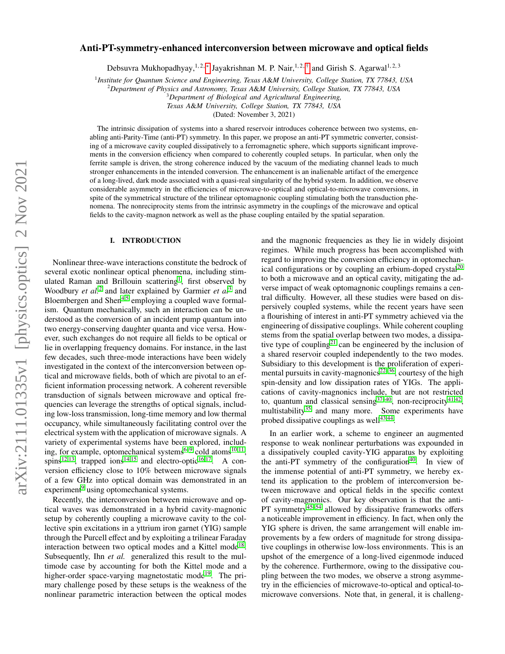# arXiv:2111.01335v1 [physics.optics] 2 Nov 2021 arXiv:2111.01335v1 [physics.optics] 2 Nov 2021

# Anti-PT-symmetry-enhanced interconversion between microwave and optical fields

Debsuvra Mukhopadhyay,<sup>1,2,[∗](#page-7-0)</sup> Jayakrishnan M. P. Nair,<sup>1,2,[†](#page-7-1)</sup> and Girish S. Agarwal<sup>1,2,3</sup>

1 *Institute for Quantum Science and Engineering, Texas A*&*M University, College Station, TX 77843, USA*

<sup>2</sup>*Department of Physics and Astronomy, Texas A*&*M University, College Station, TX 77843, USA*

<sup>3</sup>*Department of Biological and Agricultural Engineering,*

*Texas A*&*M University, College Station, TX 77843, USA*

(Dated: November 3, 2021)

The intrinsic dissipation of systems into a shared reservoir introduces coherence between two systems, enabling anti-Parity-Time (anti-PT) symmetry. In this paper, we propose an anti-PT symmetric converter, consisting of a microwave cavity coupled dissipatively to a ferromagnetic sphere, which supports significant improvements in the conversion efficiency when compared to coherently coupled setups. In particular, when only the ferrite sample is driven, the strong coherence induced by the vacuum of the mediating channel leads to much stronger enhancements in the intended conversion. The enhancement is an inalienable artifact of the emergence of a long-lived, dark mode associated with a quasi-real singularity of the hybrid system. In addition, we observe considerable asymmetry in the efficiencies of microwave-to-optical and optical-to-microwave conversions, in spite of the symmetrical structure of the trilinear optomagnonic coupling stimulating both the transduction phenomena. The nonreciprocity stems from the intrinsic asymmetry in the couplings of the microwave and optical fields to the cavity-magnon network as well as the phase coupling entailed by the spatial separation.

### I. INTRODUCTION

Nonlinear three-wave interactions constitute the bedrock of several exotic nonlinear optical phenomena, including stim-ulated Raman and Brillouin scattering<sup>[1](#page-7-2)</sup>, first observed by Woodbury *et al.*[2](#page-7-3) and later explained by Garmier *et al*[3](#page-7-4) and Bloembergen and Shen<sup>[4,](#page-7-5)[5](#page-7-6)</sup> employing a coupled wave formalism. Quantum mechanically, such an interaction can be understood as the conversion of an incident pump quantum into two energy-conserving daughter quanta and vice versa. However, such exchanges do not require all fields to be optical or lie in overlapping frequency domains. For instance, in the last few decades, such three-mode interactions have been widely investigated in the context of the interconversion between optical and microwave fields, both of which are pivotal to an efficient information processing network. A coherent reversible transduction of signals between microwave and optical frequencies can leverage the strengths of optical signals, including low-loss transmission, long-time memory and low thermal occupancy, while simultaneously facilitating control over the electrical system with the application of microwave signals. A variety of experimental systems have been explored, including, for example, optomechanical systems $6-9$  $6-9$  cold atoms $10,11$  $10,11$ , spins<sup>[12](#page-7-11)[,13](#page-7-12)</sup>, trapped ions<sup>[14,](#page-7-13)[15](#page-7-14)</sup> and electro-optic<sup>[16](#page-7-15)[,17](#page-7-16)</sup>. A conversion efficiency close to 10% between microwave signals of a few GHz into optical domain was demonstrated in an experiment<sup>[9](#page-7-8)</sup> using optomechanical systems.

Recently, the interconversion between microwave and optical waves was demonstrated in a hybrid cavity-magnonic setup by coherently coupling a microwave cavity to the collective spin excitations in a yttrium iron garnet (YIG) sample through the Purcell effect and by exploiting a trilinear Faraday interaction between two optical modes and a Kittel mode<sup>[18](#page-7-17)</sup>. Subsequently, Ihn *et al.* generalized this result to the multimode case by accounting for both the Kittel mode and a higher-order space-varying magnetostatic mode<sup>[19](#page-7-18)</sup>. The primary challenge posed by these setups is the weakness of the nonlinear parametric interaction between the optical modes and the magnonic frequencies as they lie in widely disjoint regimes. While much progress has been accomplished with regard to improving the conversion efficiency in optomechan-ical configurations or by coupling an erbium-doped crystal<sup>[20](#page-7-19)</sup> to both a microwave and an optical cavity, mitigating the adverse impact of weak optomagnonic couplings remains a central difficulty. However, all these studies were based on dispersively coupled systems, while the recent years have seen a flourishing of interest in anti-PT symmetry achieved via the engineering of dissipative couplings. While coherent coupling stems from the spatial overlap between two modes, a dissipa-tive type of coupling<sup>[21](#page-7-20)</sup> can be engineered by the inclusion of a shared reservoir coupled independently to the two modes. Subsidiary to this development is the proliferation of experi-mental pursuits in cavity-magnonics<sup>[22–](#page-8-0)[36](#page-8-1)</sup>, courtesy of the high spin-density and low dissipation rates of YIGs. The applications of cavity-magnonics include, but are not restricted to, quantum and classical sensing  $37-40$  $37-40$ , non-reciprocity  $41,42$  $41,42$ , multistability<sup>[35](#page-8-6)</sup> and many more. Some experiments have probed dissipative couplings as well<sup>[43,](#page-8-7)[44](#page-8-8)</sup>.

In an earlier work, a scheme to engineer an augmented response to weak nonlinear perturbations was expounded in a dissipatively coupled cavity-YIG apparatus by exploiting the anti-PT symmetry of the configuration<sup>[40](#page-8-3)</sup>. In view of the immense potential of anti-PT symmetry, we hereby extend its application to the problem of interconversion between microwave and optical fields in the specific context of cavity-magnonics. Our key observation is that the anti-PT symmetry<sup>[45–](#page-8-9)[54](#page-8-10)</sup> allowed by dissipative frameworks offers a noticeable improvement in efficiency. In fact, when only the YIG sphere is driven, the same arrangement will enable improvements by a few orders of magnitude for strong dissipative couplings in otherwise low-loss environments. This is an upshot of the emergence of a long-lived eigenmode induced by the coherence. Furthermore, owing to the dissipative coupling between the two modes, we observe a strong asymmetry in the efficiencies of microwave-to-optical and optical-tomicrowave conversions. Note that, in general, it is challeng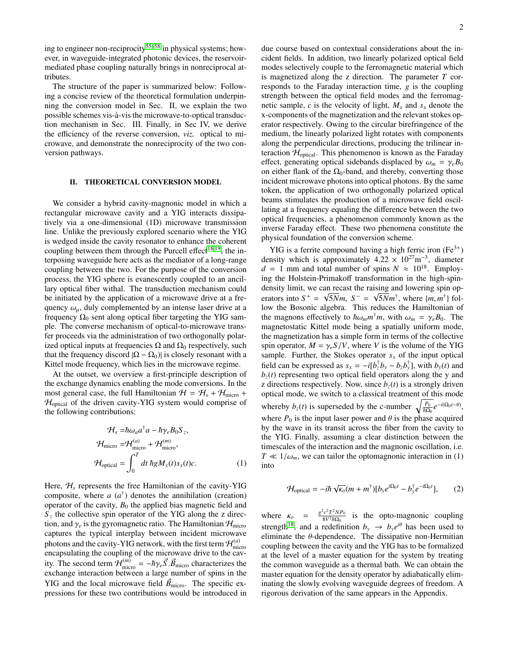ing to engineer non-reciprocity<sup>[55](#page-8-11)[–58](#page-8-12)</sup> in physical systems; however, in waveguide-integrated photonic devices, the reservoirmediated phase coupling naturally brings in nonreciprocal attributes.

The structure of the paper is summarized below: Following a concise review of the theoretical formulation underpinning the conversion model in Sec. II, we explain the two possible schemes vis-a-vis the microwave-to-optical transduc- ` tion mechanism in Sec. III. Finally, in Sec IV, we derive the efficiency of the reverse conversion, *viz.* optical to microwave, and demonstrate the nonreciprocity of the two conversion pathways.

# II. THEORETICAL CONVERSION MODEL

We consider a hybrid cavity-magnonic model in which a rectangular microwave cavity and a YIG interacts dissipatively via a one-dimensional (1D) microwave transmission line. Unlike the previously explored scenario where the YIG is wedged inside the cavity resonator to enhance the coherent coupling between them through the Purcell effect<sup>[18](#page-7-17)[,19](#page-7-18)</sup>, the interposing waveguide here acts as the mediator of a long-range coupling between the two. For the purpose of the conversion process, the YIG sphere is evanescently coupled to an ancillary optical fiber withal. The transduction mechanism could be initiated by the application of a microwave drive at a frequency  $\omega_{\mu}$ , duly complemented by an intense laser drive at a frequency  $\Omega_0$  sent along optical fiber targeting the YIG sample. The converse mechanism of optical-to-microwave transfer proceeds via the administration of two orthogonally polarized optical inputs at frequencies  $\Omega$  and  $\Omega_0$  respectively, such that the frequency discord  $|\Omega - \Omega_0|$  is closely resonant with a Kittel mode frequency, which lies in the microwave regime.

At the outset, we overview a first-principle description of the exchange dynamics enabling the mode conversions. In the most general case, the full Hamiltonian  $H = H_s + H_{micro} +$  $H_{optical}$  of the driven cavity-YIG system would comprise of the following contributions:

$$
\mathcal{H}_s = \hbar \omega_a a^{\dagger} a - \hbar \gamma_e B_0 S_z,
$$
  
\n
$$
\mathcal{H}_{\text{micro}} = \mathcal{H}_{\text{micro}}^{(a)} + \mathcal{H}_{\text{micro}}^{(m)},
$$
  
\n
$$
\mathcal{H}_{\text{optical}} = \int_0^T dt \,\hbar g M_x(t) s_x(t) c.
$$
 (1)

Here,  $H_s$  represents the free Hamiltonian of the cavity-YIG composite, where  $a(a^{\dagger})$  denotes the annihilation (creation) operator of the cavity,  $B_0$  the applied bias magnetic field and  $S<sub>z</sub>$  the collective spin operator of the YIG along the z direction, and  $\gamma_e$  is the gyromagnetic ratio. The Hamiltonian  $\mathcal{H}_{\text{micro}}$ captures the typical interplay between incident microwave photons and the cavity-YIG network, with the first term  $\mathcal{H}_{\text{min}}^{(a)}$ micro encapsulating the coupling of the microwave drive to the cavity. The second term  $\mathcal{H}_{\text{micro}}^{(m)} = -\hbar \gamma_e \vec{S} \cdot \vec{B}_{\text{micro}}$  characterizes the exchange interaction between a large number of spins in the exchange interaction between a large number of spins in the YIG and the local microwave field  $\vec{B}_{micro}$ . The specific expressions for these two contributions would be introduced in due course based on contextual considerations about the incident fields. In addition, two linearly polarized optical field modes selectively couple to the ferromagnetic material which is magnetized along the z direction. The parameter *T* corresponds to the Faraday interaction time, *g* is the coupling strength between the optical field modes and the ferromagnetic sample, *c* is the velocity of light,  $M_x$  and  $s_x$  denote the x-components of the magnetization and the relevant stokes operator respectively. Owing to the circular birefringence of the medium, the linearly polarized light rotates with components along the perpendicular directions, producing the trilinear interaction  $H_{optical}$ . This phenomenon is known as the Faraday effect, generating optical sidebands displaced by  $\omega_m = \gamma_e B_0$ on either flank of the  $\Omega_0$ -band, and thereby, converting those incident microwave photons into optical photons. By the same token, the application of two orthogonally polarized optical beams stimulates the production of a microwave field oscillating at a frequency equaling the difference between the two optical frequencies, a phenomenon commonly known as the inverse Faraday effect. These two phenomena constitute the physical foundation of the conversion scheme.

YIG is a ferrite compound having a high ferric iron  $(Fe^{3+})$ density which is approximately  $4.22 \times 10^{27}$  m<sup>-3</sup>, diameter  $d = 1$  mm and total number of spins  $N \approx 10^{18}$ . Employ $d = 1$  mm and total number of spins  $N \approx 10^{18}$ . Employing the Holstein-Primakoff transformation in the high-spindensity limit, we can recast the raising and lowering spin operators into  $S^+ = \sqrt{5Nm}$ ,  $S^- = \sqrt{5Nm^{\dagger}}$ , where  $\{m, m^{\dagger}\}$  fol-<br>low the Bosonic algebra. This reduces the Hamiltonian of low the Bosonic algebra. This reduces the Hamiltonian of the magnons effectively to  $\hbar \omega_m m^{\dagger} m$ , with  $\omega_m = \gamma_e B_0$ . The magnetostatic Kittel mode being a spatially uniform mode magnetostatic Kittel mode being a spatially uniform mode, the magnetization has a simple form in terms of the collective spin operator,  $M = \gamma_e S/V$ , where *V* is the volume of the YIG sample. Further, the Stokes operator  $s<sub>x</sub>$  of the input optical field can be expressed as  $s_x = -i[b_x^{\dagger}b_y - b_zb_y^{\dagger}]$ , with  $b_y(t)$  and  $b<sub>z</sub>(t)$  representing two optical field operators along the y and z directions respectively. Now, since  $b_z(t)$  is a strongly driven optical mode, we switch to a classical treatment of this mode whereby  $b_z(t)$  is superseded by the c-number  $\sqrt{\frac{P_0}{\hbar\Omega_0}}e^{-i(\Omega_0 t - \theta)}$ , where  $P_0$  is the input laser power and  $\theta$  is the phase acquired by the wave in its transit across the fiber from the cavity to the YIG. Finally, assuming a clear distinction between the timescales of the interaction and the magnonic oscillation, i.e.  $T \ll 1/\omega_m$ , we can tailor the optomagnonic interaction in (1) into

$$
\mathcal{H}_{\text{optical}} = -i\hbar \sqrt{\kappa_o} (m + m^{\dagger}) [b_y e^{i\Omega_0 t} - b_y^{\dagger} e^{-i\Omega_0 t}], \qquad (2)
$$

where  $\kappa_o = \frac{g^2 c^2 T^2 N P_0}{8 V^2 R \Omega_0}$  is the opto-magnonic coupling strength<sup>[18](#page-7-17)</sup>, and a redefinition  $b_y \rightarrow b_y e^{i\theta}$  has been used to eliminate the  $\theta$ -dependence. The dissipative non-Hermitian coupling between the cavity and the YIG has to be formalized at the level of a master equation for the system by treating the common waveguide as a thermal bath. We can obtain the master equation for the density operator by adiabatically eliminating the slowly evolving waveguide degrees of freedom. A rigorous derivation of the same appears in the Appendix.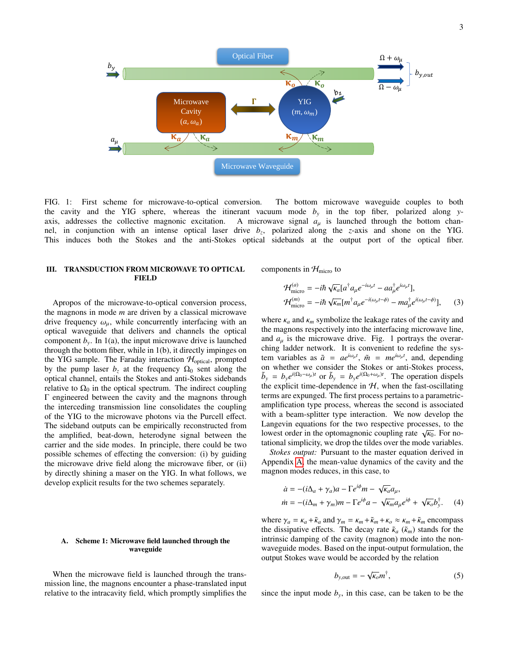

FIG. 1: First scheme for microwave-to-optical conversion. The bottom microwave waveguide couples to both the cavity and the YIG sphere, whereas the itinerant vacuum mode  $b<sub>y</sub>$  in the top fiber, polarized along *y*axis, addresses the collective magnonic excitation. A microwave signal  $a<sub>µ</sub>$  is launched through the bottom channel, in conjunction with an intense optical laser drive *b<sup>z</sup>* , polarized along the *z*-axis and shone on the YIG. This induces both the Stokes and the anti-Stokes optical sidebands at the output port of the optical fiber.

# III. TRANSDUCTION FROM MICROWAVE TO OPTICAL FIELD

Apropos of the microwave-to-optical conversion process, the magnons in mode *m* are driven by a classical microwave drive frequency  $\omega_{\mu}$ , while concurrently interfacing with an optical waveguide that delivers and channels the optical component  $b_y$ . In 1(a), the input microwave drive is launched through the bottom fiber, while in 1(b), it directly impinges on the YIG sample. The Faraday interaction  $H_{optical}$ , prompted by the pump laser  $b_z$  at the frequency  $\Omega_0$  sent along the optical channel, entails the Stokes and anti-Stokes sidebands relative to  $\Omega_0$  in the optical spectrum. The indirect coupling Γ engineered between the cavity and the magnons through the interceding transmission line consolidates the coupling of the YIG to the microwave photons via the Purcell effect. The sideband outputs can be empirically reconstructed from the amplified, beat-down, heterodyne signal between the carrier and the side modes. In principle, there could be two possible schemes of effecting the conversion: (i) by guiding the microwave drive field along the microwave fiber, or (ii) by directly shining a maser on the YIG. In what follows, we develop explicit results for the two schemes separately.

# A. Scheme 1: Microwave field launched through the waveguide

When the microwave field is launched through the transmission line, the magnons encounter a phase-translated input relative to the intracavity field, which promptly simplifies the components in  $\mathcal{H}_{micro}$  to

$$
\mathcal{H}_{\text{micro}}^{(a)} = -i\hbar \sqrt{\kappa_a} [a^\dagger a_\mu e^{-i\omega_\mu t} - a a_\mu^\dagger e^{i\omega_\mu t}],
$$
  
\n
$$
\mathcal{H}_{\text{micro}}^{(m)} = -i\hbar \sqrt{\kappa_m} [m^\dagger a_\mu e^{-i(\omega_\mu t - \phi)} - m a_\mu^\dagger e^{i(\omega_\mu t - \phi)}],
$$
\n(3)

where  $\kappa_a$  and  $\kappa_m$  symbolize the leakage rates of the cavity and the magnons respectively into the interfacing microwave line, and  $a<sub>u</sub>$  is the microwave drive. Fig. 1 portrays the overarching ladder network. It is convenient to redefine the system variables as  $\tilde{a} = ae^{i\omega_{\mu}t}$ ,  $\tilde{m} = me^{i\omega_{\mu}t}$ , and, depending on whether we consider the Stokes or anti-Stokes process,  $\tilde{b}_y = b_y e^{i(\Omega_0 - \omega_\mu)t}$  or  $\tilde{b}_y = b_y e^{i(\Omega_0 + \omega_\mu)t}$ . The operation dispels the explicit time-dependence in  $H$ , when the fast-oscillating terms are expunged. The first process pertains to a parametricamplification type process, whereas the second is associated with a beam-splitter type interaction. We now develop the Langevin equations for the two respective processes, to the Langevin equations for the two respective processes, to the<br>lowest order in the optomagnonic coupling rate  $\sqrt{\kappa_0}$ . For no-<br>tational simplicity we drop the tildes over the mode variables tational simplicity, we drop the tildes over the mode variables.

*Stokes output:* Pursuant to the master equation derived in Appendix [A,](#page-6-0) the mean-value dynamics of the cavity and the magnon modes reduces, in this case, to

$$
\dot{a} = -(i\Delta_a + \gamma_a)a - \Gamma e^{i\phi}m - \sqrt{\kappa_a}a_\mu,
$$
  
\n
$$
\dot{m} = -(i\Delta_m + \gamma_m)m - \Gamma e^{i\phi}a - \sqrt{\kappa_m}a_\mu e^{i\phi} + \sqrt{\kappa_o}b_y^{\dagger}.
$$
 (4)

where  $\gamma_a = \kappa_a + \tilde{\kappa}_a$  and  $\gamma_m = \kappa_m + \tilde{\kappa}_m + \kappa_o \approx \kappa_m + \tilde{\kappa}_m$  encompass the dissipative effects. The decay rate  $\tilde{\kappa}_a$  ( $\tilde{\kappa}_m$ ) stands for the intrinsic damping of the cavity (magnon) mode into the nonwaveguide modes. Based on the input-output formulation, the output Stokes wave would be accorded by the relation

$$
b_{y,\text{out}} = -\sqrt{\kappa_o} m^{\dagger},\tag{5}
$$

since the input mode  $b_y$ , in this case, can be taken to be the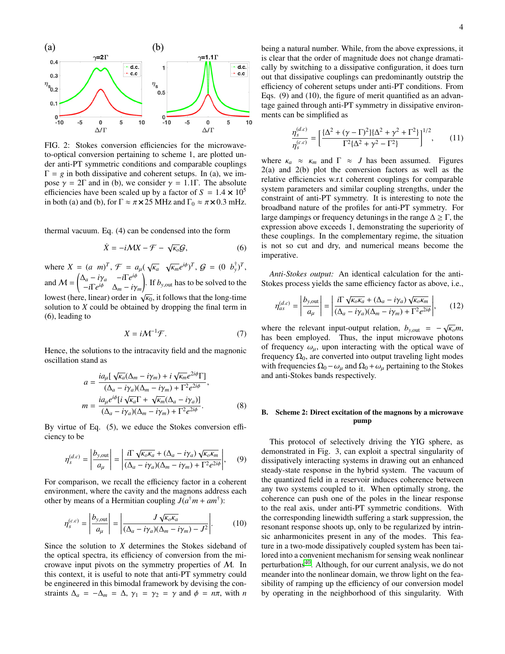

FIG. 2: Stokes conversion efficiencies for the microwaveto-optical conversion pertaining to scheme 1, are plotted under anti-PT symmetric conditions and comparable couplings  $\Gamma = g$  in both dissipative and coherent setups. In (a), we impose  $\gamma = 2\Gamma$  and in (b), we consider  $\gamma = 1.1\Gamma$ . The absolute efficiencies have been scaled up by a factor of  $S = 1.4 \times 10^5$ in both (a) and (b), for  $\Gamma \approx \pi \times 25$  MHz and  $\Gamma_0 \approx \pi \times 0.3$  mHz.

thermal vacuum. Eq. (4) can be condensed into the form

$$
\dot{X} = -i\mathcal{M}X - \mathcal{F} - \sqrt{\kappa_o}\mathcal{G},\tag{6}
$$

where  $X = (a \ m)^T$ ,  $\mathcal{F} = a_{\mu}(\sqrt{a})$ κ*a*  $\sqrt{\kappa_m}e^{i\phi}$ ,  $\mathcal{G} = (0, b_y^{\dagger})^T$ , and  $M = \begin{pmatrix} \Delta_a - i\gamma_a & -i\Gamma e^{i\phi} \\ -i\Gamma e^{i\phi} & \Delta - i\gamma \end{pmatrix}$  $-i\Gamma e^{i\phi}$  Δ*m* − *iγm*<br>b linear) order in  $\left| \int f$ . If  $b_{y,out}$  has to be solved to the lowest (here, linear) order in  $\sqrt{\kappa_0}$ , it follows that the long-time<br>solution to X could be obtained by dropping the final term in solution to *X* could be obtained by dropping the final term in (6), leading to

$$
X = i\mathcal{M}^{-1}\mathcal{F}.\tag{7}
$$

Hence, the solutions to the intracavity field and the magnonic oscillation stand as

$$
a = \frac{i a_{\mu} [\sqrt{\kappa_a} (\Delta_m - i\gamma_m) + i \sqrt{\kappa_m} e^{2i\phi} \Gamma]}{(\Delta_a - i\gamma_a)(\Delta_m - i\gamma_m) + \Gamma^2 e^{2i\phi}},
$$
  

$$
m = \frac{i a_{\mu} e^{i\phi} [i \sqrt{\kappa_a} \Gamma + \sqrt{\kappa_m} (\Delta_a - i\gamma_a)]}{(\Delta_a - i\gamma_a)(\Delta_m - i\gamma_m) + \Gamma^2 e^{2i\phi}}.
$$
(8)

By virtue of Eq. (5), we educe the Stokes conversion efficiency to be

$$
\eta_s^{(d,c)} = \left| \frac{b_{y,\text{out}}}{a_\mu} \right| = \left| \frac{i \Gamma \sqrt{\kappa_o \kappa_a} + (\Delta_a - i \gamma_a) \sqrt{\kappa_o \kappa_m}}{(\Delta_a - i \gamma_a)(\Delta_m - i \gamma_m) + \Gamma^2 e^{2i\phi}} \right|, \quad (9)
$$

For comparison, we recall the efficiency factor in a coherent environment, where the cavity and the magnons address each other by means of a Hermitian coupling  $J(a^{\dagger}m + am^{\dagger})$ :

$$
\eta_s^{(c.c)} = \left| \frac{b_{y,\text{out}}}{a_\mu} \right| = \left| \frac{J \sqrt{\kappa_o \kappa_a}}{(\Delta_a - i\gamma_a)(\Delta_m - i\gamma_m) - J^2} \right|.
$$
 (10)

Since the solution to *X* determines the Stokes sideband of the optical spectra, its efficiency of conversion from the microwave input pivots on the symmetry properties of M. In this context, it is useful to note that anti-PT symmetry could be engineered in this bimodal framework by devising the constraints  $\Delta_a = -\Delta_m = \Delta$ ,  $\gamma_1 = \gamma_2 = \gamma$  and  $\phi = n\pi$ , with *n* 

being a natural number. While, from the above expressions, it is clear that the order of magnitude does not change dramatically by switching to a dissipative configuration, it does turn out that dissipative couplings can predominantly outstrip the efficiency of coherent setups under anti-PT conditions. From Eqs. (9) and (10), the figure of merit quantified as an advantage gained through anti-PT symmetry in dissipative environments can be simplified as

$$
\frac{\eta_s^{(d,c)}}{\eta_s^{(c,c)}} = \left[ \frac{\{\Delta^2 + (\gamma - \Gamma)^2\} {\{\Delta^2 + \gamma^2 + \Gamma^2\}} }{\Gamma^2 {\{\Delta^2 + \gamma^2 - \Gamma^2\}}} \right]^{1/2},\tag{11}
$$

where  $\kappa_a \approx \kappa_m$  and  $\Gamma \approx J$  has been assumed. Figures 2(a) and 2(b) plot the conversion factors as well as the relative efficiencies w.r.t coherent couplings for comparable system parameters and similar coupling strengths, under the constraint of anti-PT symmetry. It is interesting to note the broadband nature of the profiles for anti-PT symmetry. For large dampings or frequency detunings in the range  $\Delta \geq \Gamma$ , the expression above exceeds 1, demonstrating the superiority of these couplings. In the complementary regime, the situation is not so cut and dry, and numerical means become the imperative.

*Anti-Stokes output:* An identical calculation for the anti-Stokes process yields the same efficiency factor as above, i.e.,

$$
\eta_{as}^{(d,c)} = \left| \frac{b_{y,out}}{a_{\mu}} \right| = \left| \frac{i \Gamma \sqrt{\kappa_o \kappa_a} + (\Delta_a - i \gamma_a) \sqrt{\kappa_o \kappa_m}}{(\Delta_a - i \gamma_a)(\Delta_m - i \gamma_m) + \Gamma^2 e^{2i\phi}} \right|, \qquad (12)
$$

where the relevant input-output relation,  $b_{y,out} = -\sqrt{\kappa_o}m$ ,<br>has been employed. Thus, the input microwaye photons has been employed. Thus, the input microwave photons of frequency  $\omega_{\mu}$ , upon interacting with the optical wave of frequency  $\Omega_0$ , are converted into output traveling light modes with frequencies  $\Omega_0 - \omega_\mu$  and  $\Omega_0 + \omega_\mu$  pertaining to the Stokes and anti-Stokes bands respectively.

# B. Scheme 2: Direct excitation of the magnons by a microwave pump

This protocol of selectively driving the YIG sphere, as demonstrated in Fig. 3, can exploit a spectral singularity of dissipatively interacting systems in drawing out an enhanced steady-state response in the hybrid system. The vacuum of the quantized field in a reservoir induces coherence between any two systems coupled to it. When optimally strong, the coherence can push one of the poles in the linear response to the real axis, under anti-PT symmetric conditions. With the corresponding linewidth suffering a stark suppression, the resonant response shoots up, only to be regularized by intrinsic anharmonicites present in any of the modes. This feature in a two-mode dissipatively coupled system has been tailored into a convenient mechanism for sensing weak nonlinear perturbations[40](#page-8-3). Although, for our current analysis, we do not meander into the nonlinear domain, we throw light on the feasibility of ramping up the efficiency of our conversion model by operating in the neighborhood of this singularity. With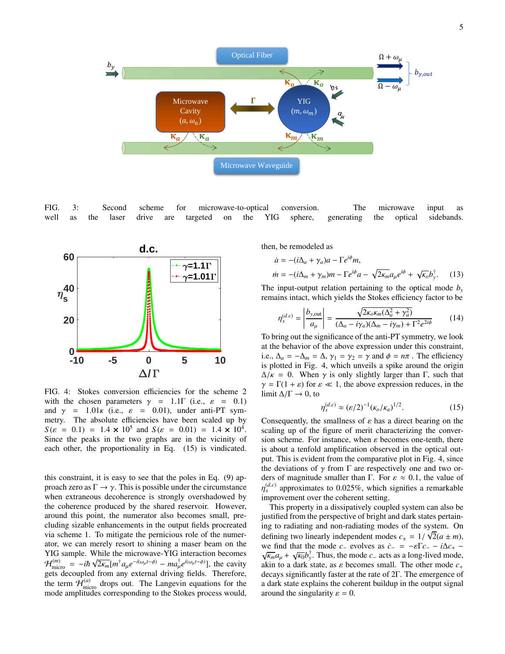

FIG. 3: Second scheme for microwave-to-optical conversion. The microwave input as well as the laser drive are targeted on the YIG sphere, generating the optical sidebands.



FIG. 4: Stokes conversion efficiencies for the scheme 2 with the chosen parameters  $\gamma = 1.1\Gamma$  (i.e.,  $\varepsilon = 0.1$ ) and  $\gamma$  = 1.01 $\kappa$  (i.e.,  $\varepsilon$  = 0.01), under anti-PT symmetry. The absolute efficiencies have been scaled up by  $S(\varepsilon = 0.1) = 1.4 \times 10^5$  and  $S(\varepsilon = 0.01) = 1.4 \times 10^4$ .<br>Since the peaks in the two graphs are in the vicinity of Since the peaks in the two graphs are in the vicinity of each other, the proportionality in Eq. (15) is vindicated.

this constraint, it is easy to see that the poles in Eq. (9) approach zero as  $\Gamma \rightarrow \gamma$ . This is possible under the circumstance when extraneous decoherence is strongly overshadowed by the coherence produced by the shared reservoir. However, around this point, the numerator also becomes small, precluding sizable enhancements in the output fields procreated via scheme 1. To mitigate the pernicious role of the numerator, we can merely resort to shining a maser beam on the YIG sample. While the microwave-YIG interaction becomes  $\mathcal{H}_{\text{micro}}^{(m)} = -i\hbar \sqrt{2\kappa_m} [m^\dagger a_\mu e^{-i(\omega_\mu t - \phi)} - m a_\mu^\dagger e^{i(\omega_\mu t - \phi)}],$  the cavity order the cavity gets decoupled from any external driving fields. Therefore, the term  $\mathcal{H}_{\text{micro}}^{(a)}$  drops out. The Langevin equations for the mode amplitudes corresponding to the Stokes process would,

then, be remodeled as

$$
\dot{a} = -(i\Delta_a + \gamma_a)a - \Gamma e^{i\phi}m,
$$
  

$$
\dot{m} = -(i\Delta_m + \gamma_m)m - \Gamma e^{i\phi}a - \sqrt{2\kappa_m}a_\mu e^{i\phi} + \sqrt{\kappa_o}b_y^{\dagger}.
$$
 (13)

The input-output relation pertaining to the optical mode  $b<sub>y</sub>$ remains intact, which yields the Stokes efficiency factor to be

$$
\eta_s^{(d,c)} = \left| \frac{b_{y,\text{out}}}{a_\mu} \right| = \frac{\sqrt{2\kappa_o \kappa_m (\Delta_a^2 + \gamma_a^2)}}{(\Delta_a - i\gamma_a)(\Delta_m - i\gamma_m) + \Gamma^2 e^{2i\phi}}
$$
(14)

To bring out the significance of the anti-PT symmetry, we look at the behavior of the above expression under this constraint, i.e.,  $\Delta_a = -\Delta_m = \Delta$ ,  $\gamma_1 = \gamma_2 = \gamma$  and  $\phi = n\pi$ . The efficiency is plotted in Fig. 4, which unveils a spike around the origin  $\Delta/\kappa = 0$ . When  $\gamma$  is only slightly larger than  $\Gamma$ , such that  $\gamma = \Gamma(1 + \varepsilon)$  for  $\varepsilon \ll 1$ , the above expression reduces, in the limit  $\Delta/\Gamma \rightarrow 0$ , to

$$
\eta_s^{(d,c)} \approx (\varepsilon/2)^{-1} (\kappa_o/\kappa_a)^{1/2}.
$$
 (15)

Consequently, the smallness of  $\varepsilon$  has a direct bearing on the scaling up of the figure of merit characterizing the converscaling up of the figure of merit characterizing the conversion scheme. For instance, when  $\varepsilon$  becomes one-tenth, there is about a tenfold amplification observed in the optical output. This is evident from the comparative plot in Fig. 4, since the deviations of  $\gamma$  from  $\Gamma$  are respectively one and two orders of magnitude smaller than Γ. For  $\varepsilon \approx 0.1$ , the value of η improvement over the coherent setting.  $s_s^{(d,c)}$  approximates to 0.025%, which signifies a remarkable<br>mprovement over the coherent setting

This property in a dissipatively coupled system can also be justified from the perspective of bright and dark states pertaining to radiating and non-radiating modes of the system. On defining two linearly independent modes  $c_{\pm} = 1/\sqrt{2(a \pm m)}$ ,<br>we find that the mode *c* evolves as  $\dot{c} = -\epsilon \Gamma c - i\Delta c$ . we find that the mode *c*− evolves as  $\dot{c}$ − = − $\epsilon$ F*c*− − *i*∆*c*+ −  $\alpha$ <sup>γ</sup><sup>*k*</sup>  $\alpha$  +  $\alpha$ /<sup>*k*</sup> $\delta$ </sub><sup>*k*</sup>. Thus the mode *c*− acts as a long-lived mode  $\overline{k_m}a_\mu + \sqrt{k_0}b_y^{\dagger}$ . Thus, the mode *c*− acts as a long-lived mode,  $c_y$ , in to a dark state, as s becomes small. The other mode *c* akin to a dark state, as <sup>ε</sup> becomes small. The other mode *<sup>c</sup>*<sup>+</sup> decays significantly faster at the rate of 2Γ. The emergence of a dark state explains the coherent buildup in the output signal around the singularity  $\varepsilon = 0$ .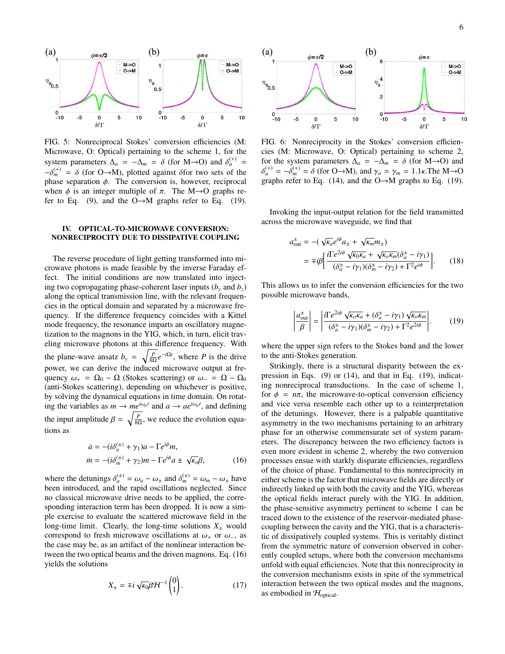

FIG. 5: Nonreciprocal Stokes' conversion efficiencies (M: Microwave, O: Optical) pertaining to the scheme 1, for the system parameters  $\Delta_a = -\Delta_m = \delta$  (for M→O) and  $\delta_a^{(+)} = \delta^{(+)} = \delta$  (for O, M) plotted against  $\delta_a^{\text{for two sets}}$  of the  $-\delta_{m}^{(+)} = \delta$  (for O→M), plotted against  $\delta$  for two sets of the phase separation  $\phi$ . The conversion is however reciprocal phase separation  $\phi$ . The conversion is, however, reciprocal when  $\phi$  is an integer multiple of  $\pi$ . The M $\rightarrow$ O graphs refer to Eq. (9), and the  $O \rightarrow M$  graphs refer to Eq. (19).

# IV. OPTICAL-TO-MICROWAVE CONVERSION: NONRECIPROCITY DUE TO DISSIPATIVE COUPLING

The reverse procedure of light getting transformed into microwave photons is made feasible by the inverse Faraday effect. The initial conditions are now translated into injecting two copropagating phase-coherent laser inputs  $(b<sub>y</sub>$  and  $b<sub>z</sub>)$ along the optical transmission line, with the relevant frequencies in the optical domain and separated by a microwave frequency. If the difference frequency coincides with a Kittel mode frequency, the resonance imparts an oscillatory magnetization to the magnons in the YIG, which, in turn, elicit traveling microwave photons at this difference frequency. With the plane-wave ansatz  $b_y = \sqrt{\frac{P}{\hbar \Omega}} e^{-i\Omega t}$ , where *P* is the drive power, we can derive the induced microwave output at frequency  $\omega_+ = \Omega_0 - \Omega$  (Stokes scattering) or  $\omega_- = \Omega - \Omega_0$ (anti-Stokes scattering), depending on whichever is positive, by solving the dynamical equations in time domain. On rotating the variables as  $m \to me^{i\omega_{\mu}t}$  and  $a \to ae^{i\omega_{\mu}t}$ , and defining the input amplitude  $\beta = \sqrt{\frac{P}{\hbar \Omega}}$ , we reduce the evolution equations as

$$
\dot{a} = -(i\delta_a^{(\pm)} + \gamma_1)a - \Gamma e^{i\phi}m,
$$
  
\n
$$
\dot{m} = -(i\delta_m^{(\pm)} + \gamma_2)m - \Gamma e^{i\phi}a \pm \sqrt{\kappa_0}\beta,
$$
\n(16)

where the detunings  $\delta_a^{(\pm)} = \omega_a - \omega_{\pm}$  and  $\delta_m^{(\pm)} = \omega_m - \omega_{\pm}$  have been introduced, and the rapid oscillations neglected. Since no classical microwave drive needs to be applied, the corresponding interaction term has been dropped. It is now a simple exercise to evaluate the scattered microwave field in the long-time limit. Clearly, the long-time solutions  $X_{\pm}$  would correspond to fresh microwave oscillations at  $\omega_+$  or  $\omega_-,$  as the case may be, as an artifact of the nonlinear interaction between the two optical beams and the driven magnons. Eq. (16) yields the solutions

$$
X_{\pm} = \mp i \sqrt{\kappa_0} \beta \mathcal{H}^{-1} \begin{pmatrix} 0 \\ 1 \end{pmatrix} . \tag{17}
$$



FIG. 6: Nonreciprocity in the Stokes' conversion efficiencies (M: Microwave, O: Optical) pertaining to scheme 2, for the system parameters  $\Delta_a = -\Delta_m = \delta$  (for M→O) and graphs refer to Eq. (14), and the O→M graphs to Eq. (19). (<sup>+)</sup> =  $-\delta_m^{(+)} = \delta$  (for O→M), and  $\gamma_a = \gamma_m = 1.1\kappa$ . The M→O<br>raphs refer to Eq. (14) and the O→M graphs to Eq. (19)

Invoking the input-output relation for the field transmitted across the microwave waveguide, we find that

$$
a_{\text{out}}^{\pm} = -(\sqrt{\kappa_a}e^{i\phi}a_{\pm} + \sqrt{\kappa_m}m_{\pm})
$$
  
= 
$$
\mp i\beta \left[ \frac{i\Gamma e^{2i\phi}\sqrt{\kappa_0\kappa_a} + \sqrt{\kappa_o\kappa_m}(\delta_a^{\pm} - i\gamma_1)}{(\delta_a^{\pm} - i\gamma_1)(\delta_m^{\pm} - i\gamma_2) + \Gamma^2 e^{i\phi}} \right].
$$
 (18)

This allows us to infer the conversion efficiencies for the two possible microwave bands,

$$
\left| \frac{a_{\text{out}}^{\pm}}{\beta} \right| = \left| \frac{i \Gamma e^{2i\phi} \sqrt{\kappa_o \kappa_a} + (\delta_a^{\pm} - i\gamma_1) \sqrt{\kappa_o \kappa_m}}{(\delta_a^{\pm} - i\gamma_1)(\delta_m^{\pm} - i\gamma_2) + \Gamma^2 e^{2i\phi}} \right|.
$$
 (19)

where the upper sign refers to the Stokes band and the lower to the anti-Stokes generation.

Strikingly, there is a structural disparity between the expression in Eqs. (9) or (14), and that in Eq. (19), indicating nonreciprocal transductions. In the case of scheme 1, for  $\phi = n\pi$ , the microwave-to-optical conversion efficiency and vice versa resemble each other up to a reinterpretation of the detunings. However, there is a palpable quantitative asymmetry in the two mechanisms pertaining to an arbitrary phase for an otherwise commensurate set of system parameters. The discrepancy between the two efficiency factors is even more evident in scheme 2, whereby the two conversion processes ensue with starkly disparate efficiencies, regardless of the choice of phase. Fundamental to this nonreciprocity in either scheme is the factor that microwave fields are directly or indirectly linked up with both the cavity and the YIG, whereas the optical fields interact purely with the YIG. In addition, the phase-sensitive asymmetry pertinent to scheme 1 can be traced down to the existence of the reservoir-mediated phasecoupling between the cavity and the YIG, that is a characteristic of dissipatively coupled systems. This is veritably distinct from the symmetric nature of conversion observed in coherently coupled setups, where both the conversion mechanisms unfold with equal efficiencies. Note that this nonreciprocity in the conversion mechanisms exists in spite of the symmetrical interaction between the two optical modes and the magnons, as embodied in  $\mathcal{H}_{optical}$ .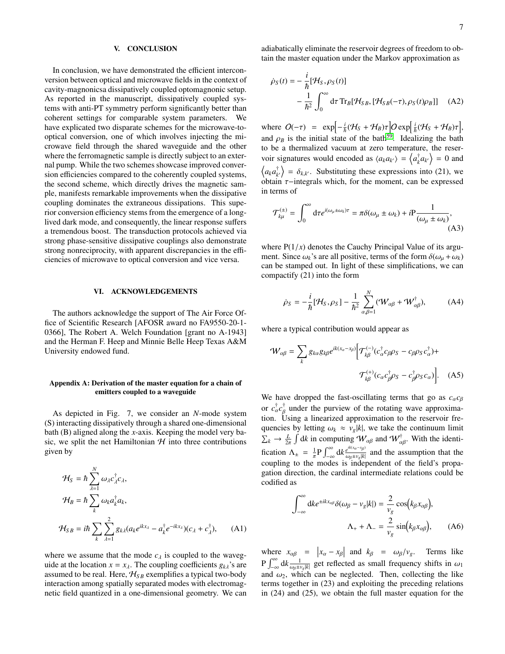### V. CONCLUSION

In conclusion, we have demonstrated the efficient interconversion between optical and microwave fields in the context of cavity-magnonicsa dissipatively coupled optomagnonic setup. As reported in the manuscript, dissipatively coupled systems with anti-PT symmetry perform significantly better than coherent settings for comparable system parameters. We have explicated two disparate schemes for the microwave-tooptical conversion, one of which involves injecting the microwave field through the shared waveguide and the other where the ferromagnetic sample is directly subject to an external pump. While the two schemes showcase improved conversion efficiencies compared to the coherently coupled systems, the second scheme, which directly drives the magnetic sample, manifests remarkable improvements when the dissipative coupling dominates the extraneous dissipations. This superior conversion efficiency stems from the emergence of a longlived dark mode, and consequently, the linear response suffers a tremendous boost. The transduction protocols achieved via strong phase-sensitive dissipative couplings also demonstrate strong nonreciprocity, with apparent discrepancies in the efficiencies of microwave to optical conversion and vice versa.

### VI. ACKNOWLEDGEMENTS

The authors acknowledge the support of The Air Force Office of Scientific Research [AFOSR award no FA9550-20-1- 0366], The Robert A. Welch Foundation [grant no A-1943] and the Herman F. Heep and Minnie Belle Heep Texas A&M University endowed fund.

### <span id="page-6-0"></span>Appendix A: Derivation of the master equation for a chain of emitters coupled to a waveguide

As depicted in Fig. 7, we consider an *N*-mode system (S) interacting dissipatively through a shared one-dimensional bath (B) aligned along the *x*-axis. Keeping the model very basic, we split the net Hamiltonian  $H$  into three contributions given by

$$
\mathcal{H}_S = \hbar \sum_{\lambda=1}^N \omega_{\lambda} c_{\lambda}^{\dagger} c_{\lambda},
$$
  
\n
$$
\mathcal{H}_B = \hbar \sum_k \omega_k a_k^{\dagger} a_k,
$$
  
\n
$$
\mathcal{H}_{SB} = i\hbar \sum_k \sum_{\lambda=1}^2 g_{k\lambda} (a_k e^{ikx_\lambda} - a_k^{\dagger} e^{-ikx_\lambda}) (c_\lambda + c_\lambda^{\dagger}), \quad (A1)
$$

where we assume that the mode  $c_{\lambda}$  is coupled to the waveguide at the location  $x = x_{\lambda}$ . The coupling coefficients  $g_{k\lambda}$ 's are assumed to be real. Here,  $H_{SB}$  exemplifies a typical two-body interaction among spatially separated modes with electromagnetic field quantized in a one-dimensional geometry. We can adiabatically eliminate the reservoir degrees of freedom to obtain the master equation under the Markov approximation as

$$
\dot{\rho}_S(t) = -\frac{i}{\hbar} [\mathcal{H}_S, \rho_S(t)]
$$
  
 
$$
-\frac{1}{\hbar^2} \int_0^\infty d\tau \operatorname{Tr}_B[\mathcal{H}_{SB}, [\mathcal{H}_{SB}(-\tau), \rho_S(t)\rho_B]] \quad \text{(A2)}
$$

where  $O(-\tau) = \exp\left[-\frac{i}{\hbar}(\mathcal{H}_S + \mathcal{H}_B)\tau\right]O\exp\left[\frac{i}{\hbar}(\mathcal{H}_S + \mathcal{H}_B)\tau\right],$ and  $\rho_B$  is the initial state of the bath<sup>[59](#page-8-13)</sup>. Idealizing the bath<br>to be a thermalized vacuum at zero temperature, the reserto be a thermalized vacuum at zero temperature, the reservoir signatures would encoded as  $\langle a_k a_{k'} \rangle = \langle a_k^{\dagger} a_k \rangle$  $\binom{\dagger}{k} a_{k'}$  = 0 and  $\langle a_k a_k^{\dagger}$  $\begin{pmatrix} \n\dot{x} \\ \n\dot{x} \n\end{pmatrix} = \delta_{k,k'}$ . Substituting these expressions into (21), we obtain  $\tau$ −integrals which, for the moment, can be expressed in terms of

$$
\mathcal{T}_{k\mu}^{(\pm)} = \int_0^\infty d\tau e^{i(\omega_\mu \pm \omega_k)\tau} = \pi \delta(\omega_\mu \pm \omega_k) + i \mathcal{P} \frac{1}{(\omega_\mu \pm \omega_k)},
$$
\n(A3)

where  $P(1/x)$  denotes the Cauchy Principal Value of its argument. Since  $\omega_k$ 's are all positive, terms of the form  $\delta(\omega_{\mu} + \omega_k)$ can be stamped out. In light of these simplifications, we can compactify (21) into the form

$$
\dot{\rho}_S = -\frac{i}{\hbar} [\mathcal{H}_S, \rho_S] - \frac{1}{\hbar^2} \sum_{\alpha,\beta=1}^N (\mathcal{W}_{\alpha\beta} + \mathcal{W}_{\alpha\beta}^{\dagger}), \tag{A4}
$$

where a typical contribution would appear as

$$
\mathcal{W}_{\alpha\beta} = \sum_{k} g_{k\alpha} g_{k\beta} e^{ik(x_{\alpha} - x_{\beta})} \Big[ \mathcal{T}_{k\beta}^{(-)} (c_{\alpha}^{\dagger} c_{\beta} \rho_{S} - c_{\beta} \rho_{S} c_{\alpha}^{\dagger}) +
$$

$$
\mathcal{T}_{k\beta}^{(+)} (c_{\alpha} c_{\beta}^{\dagger} \rho_{S} - c_{\beta}^{\dagger} \rho_{S} c_{\alpha}) \Big]. \quad (A5)
$$

We have dropped the fast-oscillating terms that go as  $c_{\alpha}c_{\beta}$ or  $c_{\alpha}^{\dagger}c_{\beta}^{\dagger}$  under the purview of the rotating wave approximation. Using a linearized approximation to the reservoir frequencies by letting  $\omega_k \approx v_g |k|$ , we take the continuum limit  $\sum_{k} \rightarrow \frac{L}{2\pi}$  $\int dk$  in computing  $W_{\alpha\beta}$  and  $W_{\alpha\beta}^{\dagger}$ . With the identification  $\Lambda_{\pm} = \frac{1}{\pi} P \int_{-\infty}^{\infty} dk \frac{e^{ik(x_{\alpha} - x_{\beta})}}{\omega_{\beta} \pm v_{g} |k|}$ coupling to the modes is independent of the field's propa- $\frac{\partial \rho_{\text{max}}}{\partial \rho}$  and the assumption that the gation direction, the cardinal intermediate relations could be codified as

$$
\int_{-\infty}^{\infty} dk e^{\pm ikx_{\alpha\beta}} \delta(\omega_{\beta} - v_{g}|k|) = \frac{2}{v_{g}} \cos(k_{\beta}x_{\alpha\beta}),
$$

$$
\Lambda_{+} + \Lambda_{-} = \frac{2}{v_{g}} \sin(k_{\beta}x_{\alpha\beta}), \qquad (A6)
$$

where  $x_{\alpha\beta} = |x_{\alpha} - x_{\beta}|$  and  $k_{\beta} = \omega_{\beta}/v_{g}$ . Terms like<br>  $P \int_{-\infty}^{\infty} dk \frac{1}{\omega_{\beta} \pm v_{g} |k|}$  get reflected as small frequency shifts in  $\omega_{1}$ <br>
and  $\omega_{2}$  which can be neglected. Then collecting the like and  $\omega_2$ , which can be neglected. Then, collecting the like terms together in (23) and exploiting the preceding relations in (24) and (25), we obtain the full master equation for the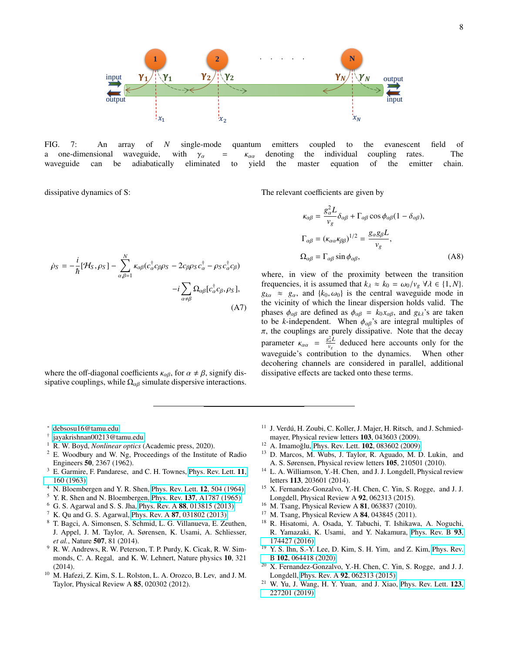

FIG. 7: An array of *N* single-mode quantum emitters coupled to the evanescent field of a one-dimensional waveguide, with  $\gamma_{\alpha}$  =  $\kappa_{\alpha\alpha}$  denoting the individual coupling rates. The waveguide can be adiabatically eliminated to yield the master equation of the emitter chain waveguide can be adiabatically eliminated to yield the master equation of the emitter chain.

dissipative dynamics of S:

$$
\dot{\rho}_S = -\frac{i}{\hbar} [\mathcal{H}_S, \rho_S] - \sum_{\alpha, \beta=1}^N \kappa_{\alpha\beta} (c_{\alpha}^{\dagger} c_{\beta} \rho_S - 2c_{\beta} \rho_S c_{\alpha}^{\dagger} - \rho_S c_{\alpha}^{\dagger} c_{\beta})
$$

$$
-i \sum_{\alpha \neq \beta} \Omega_{\alpha\beta} [c_{\alpha}^{\dagger} c_{\beta}, \rho_S], \tag{A7}
$$

where the off-diagonal coefficients  $\kappa_{\alpha\beta}$ , for  $\alpha \neq \beta$ , signify dissipative couplings, while  $\Omega_{\alpha\beta}$  simulate dispersive interactions. The relevant coefficients are given by

$$
\kappa_{\alpha\beta} = \frac{g_{\alpha}^{2} L}{v_{g}} \delta_{\alpha\beta} + \Gamma_{\alpha\beta} \cos \phi_{\alpha\beta} (1 - \delta_{\alpha\beta}),
$$
  
\n
$$
\Gamma_{\alpha\beta} = (\kappa_{\alpha\alpha} \kappa_{\beta\beta})^{1/2} = \frac{g_{\alpha} g_{\beta} L}{v_{g}},
$$
  
\n
$$
\Omega_{\alpha\beta} = \Gamma_{\alpha\beta} \sin \phi_{\alpha\beta},
$$
\n(A8)

where, in view of the proximity between the transition frequencies, it is assumed that  $k_{\lambda} \approx k_0 = \omega_0/v_g \,\forall \lambda \in \{1, N\}.$  $g_{k\alpha} \approx g_{\alpha}$ , and  $\{k_0, \omega_0\}$  is the central waveguide mode in the vicinity of which the linear dispersion holds valid. The phases  $\phi_{\alpha\beta}$  are defined as  $\phi_{\alpha\beta} = k_0 x_{\alpha\beta}$ , and  $g_{k\lambda}$ 's are taken to be *k*-independent. When  $\phi_{\alpha\beta}$ 's are integral multiples of  $\pi$ , the couplings are purely dissipative. Note that the decay parameter  $\kappa_{\alpha\alpha} = \frac{g_{\alpha}^2 L}{v_g}$  deduced here accounts only for the waveguide's contribution to the dynamics. When other decohering channels are considered in parallel, additional dissipative effects are tacked onto these terms.

- <span id="page-7-0"></span><sup>∗</sup> [debsosu16@tamu.edu](mailto:debsosu16@tamu.edu)
- <span id="page-7-1"></span>† [jayakrishnan00213@tamu.edu](mailto:jayakrishnan00213@tamu.edu)
- <span id="page-7-2"></span><sup>1</sup> R. W. Boyd, *Nonlinear optics* (Academic press, 2020).
- <span id="page-7-3"></span><sup>2</sup> E. Woodbury and W. Ng, Proceedings of the Institute of Radio Engineers 50, 2367 (1962).
- <span id="page-7-4"></span>E. Garmire, F. Pandarese, and C. H. Townes, [Phys. Rev. Lett.](http://dx.doi.org/10.1103/PhysRevLett.11.160) 11, [160 \(1963\).](http://dx.doi.org/10.1103/PhysRevLett.11.160)
- <span id="page-7-5"></span>N. Bloembergen and Y. R. Shen, [Phys. Rev. Lett.](http://dx.doi.org/10.1103/PhysRevLett.12.504) 12, 504 (1964).
- <span id="page-7-6"></span><sup>5</sup> Y. R. Shen and N. Bloembergen, Phys. Rev. **137**[, A1787 \(1965\).](http://dx.doi.org/10.1103/PhysRev.137.A1787)<br><sup>6</sup> G. S. Agarwal and S. S. Jha. Phys. Rev. A **88**, 013815 (2013).
- <span id="page-7-7"></span><sup>6</sup> G. S. Agarwal and S. S. Jha, Phys. Rev. A 88[, 013815 \(2013\).](http://dx.doi.org/10.1103/PhysRevA.88.013815)
- K. Qu and G. S. Agarwal, Phys. Rev. A 87[, 031802 \(2013\).](http://dx.doi.org/10.1103/PhysRevA.87.031802)
- <sup>8</sup> T. Bagci, A. Simonsen, S. Schmid, L. G. Villanueva, E. Zeuthen, J. Appel, J. M. Taylor, A. Sørensen, K. Usami, A. Schliesser, *et al.*, Nature 507, 81 (2014).
- <span id="page-7-8"></span><sup>9</sup> R. W. Andrews, R. W. Peterson, T. P. Purdy, K. Cicak, R. W. Simmonds, C. A. Regal, and K. W. Lehnert, Nature physics 10, 321 (2014).
- <span id="page-7-9"></span><sup>10</sup> M. Hafezi, Z. Kim, S. L. Rolston, L. A. Orozco, B. Lev, and J. M. Taylor, Physical Review A 85, 020302 (2012).
- <span id="page-7-10"></span><sup>11</sup> J. Verdú, H. Zoubi, C. Koller, J. Majer, H. Ritsch, and J. Schmiedmayer, Physical review letters 103, 043603 (2009).
- <span id="page-7-11"></span><sup>12</sup> A. Imamoğlu, Phys. Rev. Lett. **102**[, 083602 \(2009\).](http://dx.doi.org/ 10.1103/PhysRevLett.102.083602)
- <span id="page-7-12"></span><sup>13</sup> D. Marcos, M. Wubs, J. Taylor, R. Aguado, M. D. Lukin, and A. S. Sørensen, Physical review letters 105, 210501 (2010).
- <span id="page-7-13"></span><sup>14</sup> L. A. Williamson, Y.-H. Chen, and J. J. Longdell, Physical review letters 113, 203601 (2014).
- <span id="page-7-14"></span><sup>15</sup> X. Fernandez-Gonzalvo, Y.-H. Chen, C. Yin, S. Rogge, and J. J. Longdell, Physical Review A 92, 062313 (2015).
- <span id="page-7-15"></span><sup>16</sup> M. Tsang, Physical Review A 81, 063837 (2010).
- <span id="page-7-16"></span><sup>17</sup> M. Tsang, Physical Review A **84**, 043845 (2011).<br><sup>18</sup> R. Hisatomi, A. Osada, Y. Tabuchi, T. Jshikaw
- <span id="page-7-17"></span><sup>18</sup> R. Hisatomi, A. Osada, Y. Tabuchi, T. Ishikawa, A. Noguchi, R. Yamazaki, K. Usami, and Y. Nakamura, [Phys. Rev. B](http://dx.doi.org/10.1103/PhysRevB.93.174427) 93, [174427 \(2016\).](http://dx.doi.org/10.1103/PhysRevB.93.174427)
- <span id="page-7-18"></span><sup>19</sup> Y. S. Ihn, S.-Y. Lee, D. Kim, S. H. Yim, and Z. Kim, [Phys. Rev.](http://dx.doi.org/ 10.1103/PhysRevB.102.064418) B 102[, 064418 \(2020\).](http://dx.doi.org/ 10.1103/PhysRevB.102.064418)
- <span id="page-7-19"></span><sup>20</sup> X. Fernandez-Gonzalvo, Y.-H. Chen, C. Yin, S. Rogge, and J. J. Longdell, Phys. Rev. A 92[, 062313 \(2015\).](http://dx.doi.org/ 10.1103/PhysRevA.92.062313)
- <span id="page-7-20"></span><sup>21</sup> W. Yu, J. Wang, H. Y. Yuan, and J. Xiao, [Phys. Rev. Lett.](http://dx.doi.org/ 10.1103/PhysRevLett.123.227201) 123, [227201 \(2019\).](http://dx.doi.org/ 10.1103/PhysRevLett.123.227201)